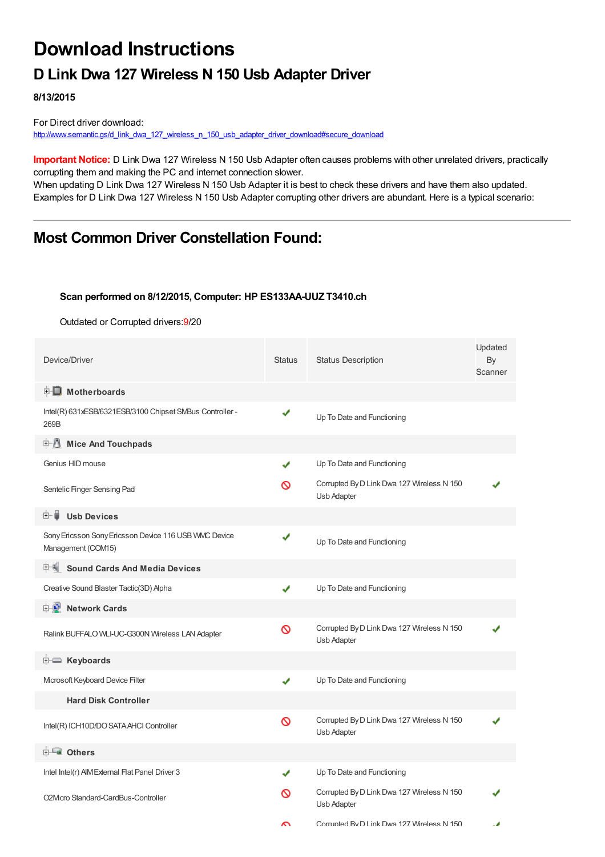# **Download Instructions**

## **D Link Dwa 127 Wireless N 150 Usb Adapter Driver**

**8/13/2015**

For Direct driver download: [http://www.semantic.gs/d\\_link\\_dwa\\_127\\_wireless\\_n\\_150\\_usb\\_adapter\\_driver\\_download#secure\\_download](http://www.semantic.gs/d_link_dwa_127_wireless_n_150_usb_adapter_driver_download#secure_download)

**Important Notice:** D Link Dwa 127 Wireless N 150 Usb Adapter often causes problems with other unrelated drivers, practically corrupting them and making the PC and internet connection slower.

When updating D Link Dwa 127 Wireless N 150 Usb Adapter it is best to check these drivers and have them also updated. Examples for D Link Dwa 127 Wireless N 150 Usb Adapter corrupting other drivers are abundant. Here is a typical scenario:

### **Most Common Driver Constellation Found:**

#### **Scan performed on 8/12/2015, Computer: HP ES133AA-UUZ T3410.ch**

Outdated or Corrupted drivers:9/20

| Device/Driver                                                               | <b>Status</b> | <b>Status Description</b>                                 | Updated<br>By<br>Scanner |
|-----------------------------------------------------------------------------|---------------|-----------------------------------------------------------|--------------------------|
| <b>E</b> Motherboards                                                       |               |                                                           |                          |
| Intel(R) 631xESB/6321ESB/3100 Chipset SMBus Controller -<br>269B            | ✔             | Up To Date and Functioning                                |                          |
| <b>E</b> Mice And Touchpads                                                 |               |                                                           |                          |
| Genius HID mouse                                                            | ✔             | Up To Date and Functioning                                |                          |
| Sentelic Finger Sensing Pad                                                 | လ             | Corrupted By D Link Dwa 127 Wireless N 150<br>Usb Adapter |                          |
| <b>Usb Devices</b><br>⊞…■                                                   |               |                                                           |                          |
| Sony Ericsson Sony Ericsson Device 116 USB WMC Device<br>Management (COM15) | ✔             | Up To Date and Functioning                                |                          |
| <b>Sound Cards And Media Devices</b>                                        |               |                                                           |                          |
| Creative Sound Blaster Tactic(3D) Apha                                      | ✔             | Up To Date and Functioning                                |                          |
| <b>E-2</b> Network Cards                                                    |               |                                                           |                          |
| Ralink BUFFALO WLI-UC-G300N Wireless LAN Adapter                            | Ø             | Corrupted By D Link Dwa 127 Wireless N 150<br>Usb Adapter |                          |
| <b>E</b> Keyboards                                                          |               |                                                           |                          |
| Microsoft Keyboard Device Filter                                            | ✔             | Up To Date and Functioning                                |                          |
| <b>Hard Disk Controller</b>                                                 |               |                                                           |                          |
| Intel(R) ICH10D/DO SATA AHCI Controller                                     | Ø             | Corrupted By D Link Dwa 127 Wireless N 150<br>Usb Adapter |                          |
| 白 一 <mark>画</mark> Others                                                   |               |                                                           |                          |
| Intel Intel(r) AIM External Flat Panel Driver 3                             | ✔             | Up To Date and Functioning                                |                          |
| O2Mcro Standard-CardBus-Controller                                          | ര             | Corrupted By D Link Dwa 127 Wireless N 150<br>Usb Adapter |                          |
|                                                                             | ົ             | Corrunted BvD Link Dwa 127 Wireless N 150                 |                          |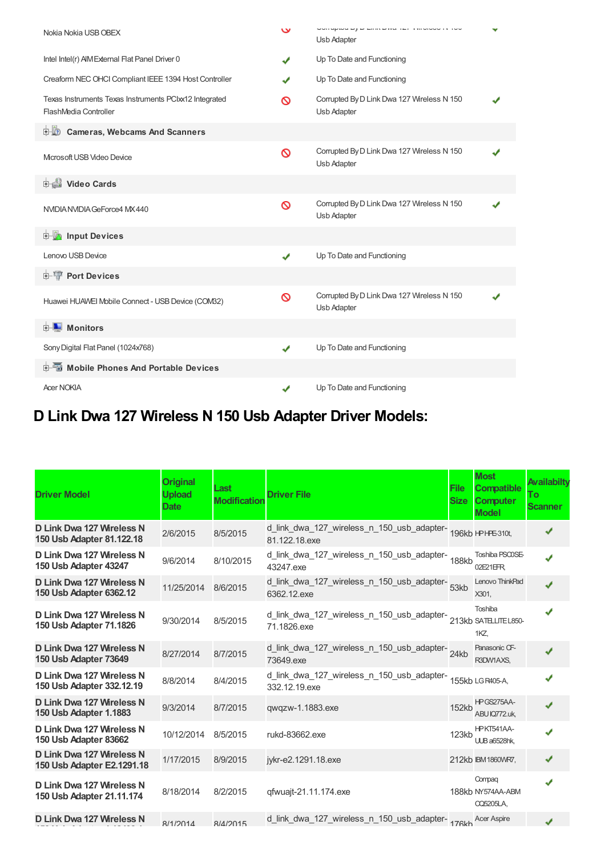| Nokia Nokia USB OBEX                                                            | $\checkmark$ | OUTOPIOU DY D'ERRY D'AU TET VIROIOU IN TOU<br>Usb Adapter | v |
|---------------------------------------------------------------------------------|--------------|-----------------------------------------------------------|---|
| Intel Intel(r) AIM External Flat Panel Driver 0                                 | ✔            | Up To Date and Functioning                                |   |
| Creaform NEC OHCI Compliant IEEE 1394 Host Controller                           | J            | Up To Date and Functioning                                |   |
| Texas Instruments Texas Instruments PCIxx12 Integrated<br>FlashMedia Controller | ര            | Corrupted By D Link Dwa 127 Wireless N 150<br>Usb Adapter |   |
| 由心<br><b>Cameras, Webcams And Scanners</b>                                      |              |                                                           |   |
| Microsoft USB Video Device                                                      | Ø            | Corrupted By D Link Dwa 127 Wireless N 150<br>Usb Adapter |   |
| Video Cards                                                                     |              |                                                           |   |
| NVIDIA NVIDIA GeForce4 MX 440                                                   | ଷ            | Corrupted By D Link Dwa 127 Wireless N 150<br>Usb Adapter |   |
| <b>E-M</b> Input Devices                                                        |              |                                                           |   |
| Lenovo USB Device                                                               | $\checkmark$ | Up To Date and Functioning                                |   |
| 由 <b>T</b> Port Devices                                                         |              |                                                           |   |
| Huawei HUAWEI Mobile Connect - USB Device (COM32)                               | Ø            | Corrupted By D Link Dwa 127 Wireless N 150<br>Usb Adapter |   |
| <b>E</b> Monitors                                                               |              |                                                           |   |
| Sony Digital Flat Panel (1024x768)                                              | ✔            | Up To Date and Functioning                                |   |
| <b>E-</b> Mobile Phones And Portable Devices                                    |              |                                                           |   |
| <b>Acer NOKIA</b>                                                               | ✔            | Up To Date and Functioning                                |   |

## **D Link Dwa 127 Wireless N 150 Usb Adapter Driver Models:**

| <b>Driver Model</b>                                     | <b>Original</b><br><b>Upload</b><br><b>Date</b> | Last<br><b>Modification</b> | <b>Driver File</b>                                                               | <b>File</b><br><b>Size</b> | <b>Most</b><br><b>Compatible</b><br><b>Computer</b><br><b>Model</b> | Availabilty<br>Τo<br><b>Scanner</b> |
|---------------------------------------------------------|-------------------------------------------------|-----------------------------|----------------------------------------------------------------------------------|----------------------------|---------------------------------------------------------------------|-------------------------------------|
| D Link Dwa 127 Wireless N<br>150 Usb Adapter 81.122.18  | 2/6/2015                                        | 8/5/2015                    | d_link_dwa_127_wireless_n_150_usb_adapter-<br>196kb HPHFE310t,<br>81.122.18.exe  |                            |                                                                     | ✔                                   |
| D Link Dwa 127 Wireless N<br>150 Usb Adapter 43247      | 9/6/2014                                        | 8/10/2015                   | d_link_dwa_127_wireless_n_150_usb_adapter-<br>188kb<br>43247.exe                 |                            | Toshiba PSCOSE-<br>02E21EFR                                         | J                                   |
| D Link Dwa 127 Wireless N<br>150 Usb Adapter 6362.12    | 11/25/2014                                      | 8/6/2015                    | d_link_dwa_127_wireless_n_150_usb_adapter-<br>53kb<br>6362.12.exe                |                            | Lenovo ThinkPad<br>X301,                                            | J                                   |
| D Link Dwa 127 Wireless N<br>150 Usb Adapter 71.1826    | 9/30/2014                                       | 8/5/2015                    | d_link_dwa_127_wireless_n_150_usb_adapter-<br>213kb SATELITEL850-<br>71.1826.exe |                            | Toshiba<br>1KZ                                                      |                                     |
| D Link Dwa 127 Wireless N<br>150 Usb Adapter 73649      | 8/27/2014                                       | 8/7/2015                    | d_link_dwa_127_wireless_n_150_usb_adapter-<br>24kb<br>73649.exe                  |                            | Panasonic CF-<br>R3DW1AXS,                                          | J                                   |
| D Link Dwa 127 Wireless N<br>150 Usb Adapter 332.12.19  | 8/8/2014                                        | 8/4/2015                    | d_link_dwa_127_wireless_n_150_usb_adapter-<br>155kb LGR405-A,<br>332.12.19.exe   |                            |                                                                     | J                                   |
| D Link Dwa 127 Wireless N<br>150 Usb Adapter 1.1883     | 9/3/2014                                        | 8/7/2015                    | qwqzw-1.1883.exe                                                                 | 152kb                      | HPGS275AA-<br>ABU IQ772.uk,                                         | ✔                                   |
| D Link Dwa 127 Wireless N<br>150 Usb Adapter 83662      | 10/12/2014                                      | 8/5/2015                    | rukd-83662.exe                                                                   | 123kb                      | HPKT541AA-<br><b>UUB a6528hk.</b>                                   |                                     |
| D Link Dwa 127 Wireless N<br>150 Usb Adapter E2.1291.18 | 1/17/2015                                       | 8/9/2015                    | jykr-e2.1291.18.exe                                                              |                            | 212kb IBM 1860WR7,                                                  | ✔                                   |
| D Link Dwa 127 Wireless N<br>150 Usb Adapter 21.11.174  | 8/18/2014                                       | 8/2/2015                    | qfwuajt-21.11.174.exe                                                            |                            | Compag<br>188kb NY574AA-ABM<br><b>CQ5205LA,</b>                     |                                     |
| D Link Dwa 127 Wireless N                               | R/1/2014                                        | R/A/2015                    | d_link_dwa_127_wireless_n_150_usb_adapter-176kb Acer Aspire                      |                            |                                                                     |                                     |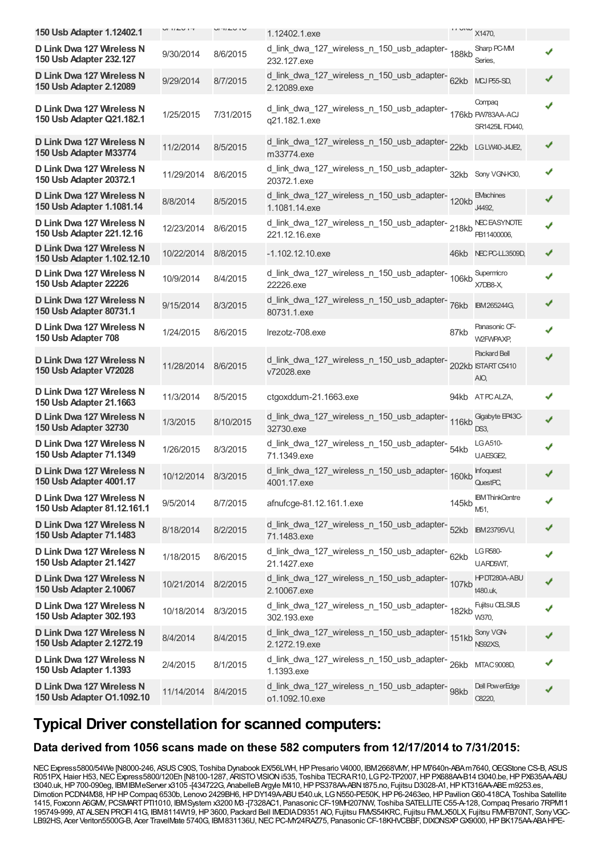| 150 Usb Adapter 1.12402.1                                | <b>UI IILU IT</b> | <b>UITILU IU</b> | 1.12402.1.exe                                                        | <b>IT VIN</b> | X1470,                                            |   |
|----------------------------------------------------------|-------------------|------------------|----------------------------------------------------------------------|---------------|---------------------------------------------------|---|
| D Link Dwa 127 Wireless N<br>150 Usb Adapter 232.127     | 9/30/2014         | 8/6/2015         | d_link_dwa_127_wireless_n_150_usb_adapter-<br>188kb<br>232.127.exe   |               | Sharp PC-MM<br>Series,                            | ✔ |
| D Link Dwa 127 Wireless N<br>150 Usb Adapter 2.12089     | 9/29/2014         | 8/7/2015         | d_link_dwa_127_wireless_n_150_usb_adapter-<br>62kb<br>2.12089.exe    |               | MCJ P55-SD,                                       | ✔ |
| D Link Dwa 127 Wireless N<br>150 Usb Adapter Q21.182.1   | 1/25/2015         | 7/31/2015        | d_link_dwa_127_wireless_n_150_usb_adapter-<br>q21.182.1.exe          |               | Compaq<br>176kb PW783AA-ACJ<br>SR1425IL FD440,    | ✔ |
| D Link Dwa 127 Wireless N<br>150 Usb Adapter M33774      | 11/2/2014         | 8/5/2015         | d_link_dwa_127_wireless_n_150_usb_adapter-<br>22kb<br>m33774.exe     |               | LG LW40-J4JE2,                                    |   |
| D Link Dwa 127 Wireless N<br>150 Usb Adapter 20372.1     | 11/29/2014        | 8/6/2015         | d_link_dwa_127_wireless_n_150_usb_adapter-<br>32kb<br>20372.1.exe    |               | Sony VGN-K30,                                     |   |
| D Link Dwa 127 Wireless N<br>150 Usb Adapter 1.1081.14   | 8/8/2014          | 8/5/2015         | d_link_dwa_127_wireless_n_150_usb_adapter-<br>120kb<br>1.1081.14.exe |               | <b>EMachines</b><br>J4492,                        | ✔ |
| D Link Dwa 127 Wireless N<br>150 Usb Adapter 221.12.16   | 12/23/2014        | 8/6/2015         | d_link_dwa_127_wireless_n_150_usb_adapter-218kb<br>221.12.16.exe     |               | <b>NECEASYNOTE</b><br>PB11400006,                 | ✔ |
| D Link Dwa 127 Wireless N<br>150 Usb Adapter 1.102.12.10 | 10/22/2014        | 8/8/2015         | -1.102.12.10.exe                                                     |               | 46kb NEC PC-LL3509D,                              | ✔ |
| D Link Dwa 127 Wireless N<br>150 Usb Adapter 22226       | 10/9/2014         | 8/4/2015         | d_link_dwa_127_wireless_n_150_usb_adapter-<br>106kb<br>22226.exe     |               | Supermicro<br>X7DB8-X                             |   |
| D Link Dwa 127 Wireless N<br>150 Usb Adapter 80731.1     | 9/15/2014         | 8/3/2015         | d_link_dwa_127_wireless_n_150_usb_adapter-<br>76kb<br>80731.1.exe    |               | IBM265244G,                                       |   |
| D Link Dwa 127 Wireless N<br>150 Usb Adapter 708         | 1/24/2015         | 8/6/2015         | Irezotz-708.exe                                                      | 87kb          | Panasonic CF-<br>W2FWPAXP,                        |   |
| D Link Dwa 127 Wireless N<br>150 Usb Adapter V72028      | 11/28/2014        | 8/6/2015         | d_link_dwa_127_wireless_n_150_usb_adapter-<br>v72028.exe             |               | <b>Packard Bell</b><br>202kb ISTART C5410<br>AIO, | ✔ |
| D Link Dwa 127 Wireless N<br>150 Usb Adapter 21.1663     | 11/3/2014         | 8/5/2015         | ctgoxddum-21.1663.exe                                                |               | 94kb ATPCALZA,                                    | ✔ |
| D Link Dwa 127 Wireless N<br>150 Usb Adapter 32730       | 1/3/2015          | 8/10/2015        | d_link_dwa_127_wireless_n_150_usb_adapter-<br>116kb<br>32730.exe     |               | Gigabyte EP43C-<br>DS3.                           | J |
| D Link Dwa 127 Wireless N<br>150 Usb Adapter 71.1349     | 1/26/2015         | 8/3/2015         | d_link_dwa_127_wireless_n_150_usb_adapter-<br>54kb<br>71.1349.exe    |               | LG A510-<br>U.AESGE2,                             |   |
| D Link Dwa 127 Wireless N<br>150 Usb Adapter 4001.17     | 10/12/2014        | 8/3/2015         | d_link_dwa_127_wireless_n_150_usb_adapter-160kb<br>4001.17.exe       |               | <b>Infoquest</b><br>Quest <sub>PC</sub>           |   |
| D Link Dwa 127 Wireless N<br>150 Usb Adapter 81.12.161.1 | 9/5/2014          | 8/7/2015         | afnufcge-81.12.161.1.exe                                             | 145kb         | <b>IBM</b> ThinkCentre<br>M51,                    |   |
| D Link Dwa 127 Wireless N<br>150 Usb Adapter 71.1483     | 8/18/2014         | 8/2/2015         | d_link_dwa_127_wireless_n_150_usb_adapter-<br>52kb<br>71.1483.exe    |               | <b>IBM23795VU,</b>                                |   |
| D Link Dwa 127 Wireless N<br>150 Usb Adapter 21.1427     | 1/18/2015         | 8/6/2015         | d_link_dwa_127_wireless_n_150_usb_adapter-<br>62kb<br>21.1427.exe    |               | LG R580-<br>U.ARD5WT,                             |   |
| D Link Dwa 127 Wireless N<br>150 Usb Adapter 2.10067     | 10/21/2014        | 8/2/2015         | d_link_dwa_127_wireless_n_150_usb_adapter-<br>107kb<br>2.10067.exe   |               | HPDT280A-ABU<br>t480.uk,                          |   |
| D Link Dwa 127 Wireless N<br>150 Usb Adapter 302.193     | 10/18/2014        | 8/3/2015         | d_link_dwa_127_wireless_n_150_usb_adapter-<br>182kb<br>302.193.exe   |               | Fujitsu CELSIUS<br>W370,                          |   |
| D Link Dwa 127 Wireless N<br>150 Usb Adapter 2.1272.19   | 8/4/2014          | 8/4/2015         | d_link_dwa_127_wireless_n_150_usb_adapter-<br>151kb<br>2.1272.19.exe |               | Sony VGN-<br>NS92XS,                              |   |
| D Link Dwa 127 Wireless N<br>150 Usb Adapter 1.1393      | 2/4/2015          | 8/1/2015         | d_link_dwa_127_wireless_n_150_usb_adapter-26kb<br>1.1393.exe         |               | MTAC 9008D,                                       |   |
| D Link Dwa 127 Wireless N<br>150 Usb Adapter 01.1092.10  | 11/14/2014        | 8/4/2015         | d_link_dwa_127_wireless_n_150_usb_adapter-<br>98kb<br>o1.1092.10.exe |               | Dell PowerEdge<br>C8220,                          | ✔ |

### **Typical Driver constellation for scanned computers:**

#### **Data derived from 1056 scans made on these 582 computers from 12/17/2014 to 7/31/2015:**

NEC Express5800/54We [N8000-246, ASUS C90S, Toshiba Dynabook EX/56LWH, HP Presario V4000, IBM2668VMY, HP M7640n-ABAm7640, OEGStone CS-B, ASUS R051PX,Haier H53,NECExpress5800/120Eh [N8100-1287, ARISTOVISIONi535, Toshiba TECRAR10, LGP2-TP2007,HPPX688AA-B14 t3040.be,HPPX635AA-ABU t3040.uk, HP 700-090eg, IBMIBMeServer x3105 -[434722G, AnabelleB Argyle M410, HP PS378AA-ABN t875.no, Fujitsu D3028-A1, HP KT316AA-ABE m9253.es, Dimotion PCDN4M38, HP HP Compaq 6530b, Lenovo 2429BH6, HP DY149A-ABU t540.uk, LGN550-PE50K, HP P6-2463eo, HP Pavilion G60-418CA, Toshiba Satellite 1415, Foxconn A6GMV, PCSMART PTI1010, IBMSystem x3200 M3 -[7328AC1, Panasonic CF-19MH207NW, Toshiba SATELLITE C55-A-128, Compaq Presario 7RPM11 195749-999, ATALSENPROFI 41G, IBM8114W19,HP3600, Packard Bell IMEDIAD9351 AIO, Fujitsu FMVS54KRC, Fujitsu FMVLX50LX, Fujitsu FMVFB70NT, SonyVGC-LB92HS, Acer Veriton5500G-B, Acer TravelMate 5740G, IBM831136U,NECPC-MY24RAZ75, PanasonicCF-18KHVCBBF,DIXONSXPGX9000,HPBK175AA-ABAHPE-